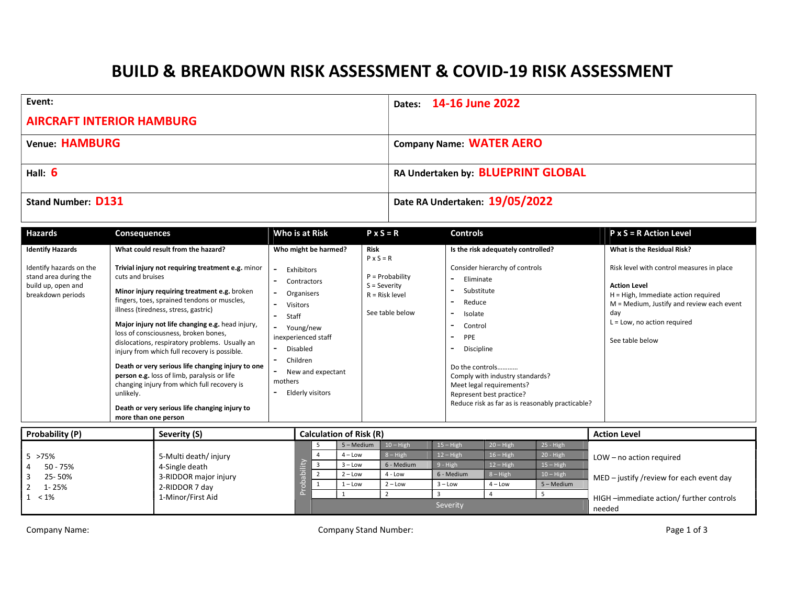## BUILD & BREAKDOWN RISK ASSESSMENT & COVID-19 RISK ASSESSMENT

| Event:                           | Dates: 14-16 June 2022             |
|----------------------------------|------------------------------------|
| <b>AIRCRAFT INTERIOR HAMBURG</b> |                                    |
| Venue: HAMBURG                   | <b>Company Name: WATER AERO</b>    |
| Hall: $6$                        | RA Undertaken by: BLUEPRINT GLOBAL |
| Stand Number: D131               | Date RA Undertaken: 19/05/2022     |

| Hazards                                                                                                                | <b>Consequences</b>                                                                                                                                                                                                                                                                                                                                                                                                                                                                                                                                                                                                                                               | Who is at Risk                                                                                                                                                                                       | $P \times S = R$                                                                                              | <b>Controls</b>                                                                                                                                                                                                                                                                                                                                    | $P \times S = R$ Action Level                                                                                                                                                                                                                     |
|------------------------------------------------------------------------------------------------------------------------|-------------------------------------------------------------------------------------------------------------------------------------------------------------------------------------------------------------------------------------------------------------------------------------------------------------------------------------------------------------------------------------------------------------------------------------------------------------------------------------------------------------------------------------------------------------------------------------------------------------------------------------------------------------------|------------------------------------------------------------------------------------------------------------------------------------------------------------------------------------------------------|---------------------------------------------------------------------------------------------------------------|----------------------------------------------------------------------------------------------------------------------------------------------------------------------------------------------------------------------------------------------------------------------------------------------------------------------------------------------------|---------------------------------------------------------------------------------------------------------------------------------------------------------------------------------------------------------------------------------------------------|
| <b>Identify Hazards</b><br>Identify hazards on the<br>stand area during the<br>build up, open and<br>breakdown periods | What could result from the hazard?<br>Trivial injury not requiring treatment e.g. minor<br>cuts and bruises<br>Minor injury requiring treatment e.g. broken<br>fingers, toes, sprained tendons or muscles,<br>illness (tiredness, stress, gastric)<br>Major injury not life changing e.g. head injury,<br>loss of consciousness, broken bones,<br>dislocations, respiratory problems. Usually an<br>injury from which full recovery is possible.<br>Death or very serious life changing injury to one<br>person e.g. loss of limb, paralysis or life<br>changing injury from which full recovery is<br>unlikely.<br>Death or very serious life changing injury to | Who might be harmed?<br>Exhibitors<br>Contractors<br>Organisers<br>Visitors<br>Staff<br>Young/new<br>inexperienced staff<br>Disabled<br>Children<br>New and expectant<br>mothers<br>Elderly visitors | <b>Risk</b><br>$P \times S = R$<br>$P = Probability$<br>$S =$ Severity<br>$R =$ Risk level<br>See table below | Is the risk adequately controlled?<br>Consider hierarchy of controls<br>Eliminate<br>Substitute<br>Reduce<br>Isolate<br>$\overline{\phantom{0}}$<br>Control<br>PPE<br>Discipline<br>Do the controls<br>Comply with industry standards?<br>Meet legal requirements?<br>Represent best practice?<br>Reduce risk as far as is reasonably practicable? | What is the Residual Risk?<br>Risk level with control measures in place<br><b>Action Level</b><br>$H = High$ , Immediate action required<br>M = Medium, Justify and review each event<br>day<br>$L = Low$ , no action required<br>See table below |
|                                                                                                                        | more than one person                                                                                                                                                                                                                                                                                                                                                                                                                                                                                                                                                                                                                                              |                                                                                                                                                                                                      |                                                                                                               |                                                                                                                                                                                                                                                                                                                                                    |                                                                                                                                                                                                                                                   |

| Probability (P)  | Severity (S)                            |  | <b>Calculation of Risk (R)</b> |             | <b>Action Level</b> |             |             |                                          |
|------------------|-----------------------------------------|--|--------------------------------|-------------|---------------------|-------------|-------------|------------------------------------------|
|                  |                                         |  | 5 - Medium                     | $10 - High$ | $15 - High$         | $20 - High$ | $25 - High$ |                                          |
| $15 \times 75\%$ | 5-Multi death/ injury<br>4-Single death |  | $4 - Low$                      | $8 - High$  | $12 - High$         | $16 - High$ | 20 - High   | LOW – no action required                 |
| 50 - 75%         |                                         |  | $3 -$ Low                      | 6 - Medium  | $9 - High$          | $12 - High$ | $15 - High$ |                                          |
| 25-50%           | 3-RIDDOR major injury                   |  | $2 - Low$                      | $4 - Low$   | 6 - Medium          | $8 - High$  | $10 - High$ | MED – justify /review for each event day |
| 1-25%            | 2-RIDDOR 7 day                          |  | $1 -$ Low                      | $2 - Low$   | $3 - Low$           | $4 - Low$   | 5 - Medium  |                                          |
| $1 < 1\%$        | 1-Minor/First Aid                       |  |                                |             |                     |             |             | HIGH-immediate action/ further controls  |
|                  |                                         |  |                                | Severity    |                     |             | needed      |                                          |

Company Name: Page 1 of 3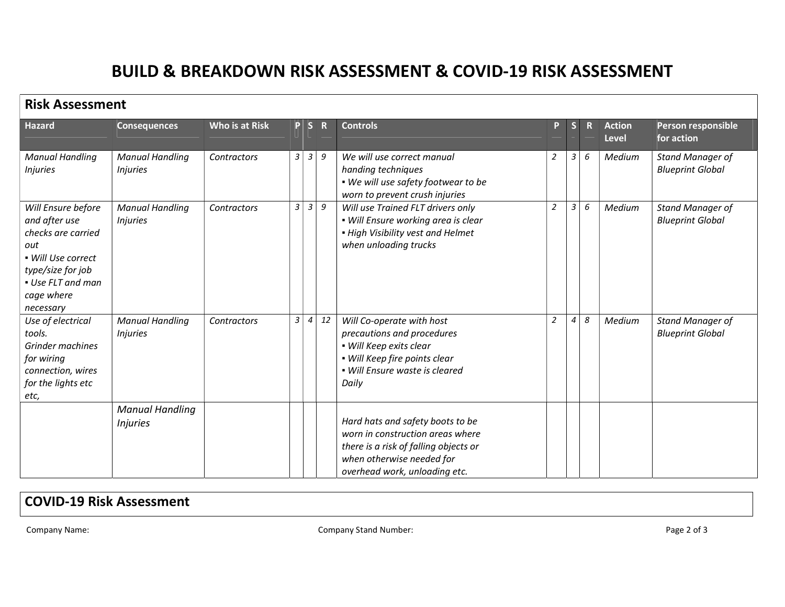## BUILD & BREAKDOWN RISK ASSESSMENT & COVID-19 RISK ASSESSMENT

| <b>Risk Assessment</b>                                                                                                                                      |                                           |                |   |                |             |                                                                                                                                                                             |                |                  |             |                        |                                                    |
|-------------------------------------------------------------------------------------------------------------------------------------------------------------|-------------------------------------------|----------------|---|----------------|-------------|-----------------------------------------------------------------------------------------------------------------------------------------------------------------------------|----------------|------------------|-------------|------------------------|----------------------------------------------------|
| Hazard                                                                                                                                                      | <b>Consequences</b>                       | Who is at Risk |   | P S            | $\mathbf R$ | <b>Controls</b>                                                                                                                                                             | P.             | $\mathsf{s}$     | $\mathbf R$ | <b>Action</b><br>Level | Person responsible<br>for action                   |
| <b>Manual Handling</b><br><i>Injuries</i>                                                                                                                   | <b>Manual Handling</b><br><i>Injuries</i> | Contractors    | 3 | $\vert$ 3      | 9           | We will use correct manual<br>handing techniques<br>. We will use safety footwear to be<br>worn to prevent crush injuries                                                   | $\overline{2}$ | 3                | 6           | Medium                 | <b>Stand Manager of</b><br><b>Blueprint Global</b> |
| Will Ensure before<br>and after use<br>checks are carried<br>out<br>• Will Use correct<br>type/size for job<br>• Use FLT and man<br>cage where<br>necessary | <b>Manual Handling</b><br><b>Injuries</b> | Contractors    | 3 | 3              | 9           | Will use Trained FLT drivers only<br>• Will Ensure working area is clear<br>. High Visibility vest and Helmet<br>when unloading trucks                                      | $\overline{a}$ | 3                | 6           | Medium                 | Stand Manager of<br><b>Blueprint Global</b>        |
| Use of electrical<br>tools.<br>Grinder machines<br>for wiring<br>connection, wires<br>for the lights etc<br>etc,                                            | <b>Manual Handling</b><br><b>Injuries</b> | Contractors    | 3 | $\overline{4}$ | 12          | Will Co-operate with host<br>precautions and procedures<br>• Will Keep exits clear<br>· Will Keep fire points clear<br>· Will Ensure waste is cleared<br>Daily              | $\overline{2}$ | $\boldsymbol{4}$ | 8           | Medium                 | <b>Stand Manager of</b><br><b>Blueprint Global</b> |
|                                                                                                                                                             | <b>Manual Handling</b><br><b>Injuries</b> |                |   |                |             | Hard hats and safety boots to be<br>worn in construction areas where<br>there is a risk of falling objects or<br>when otherwise needed for<br>overhead work, unloading etc. |                |                  |             |                        |                                                    |

## COVID-19 Risk Assessment